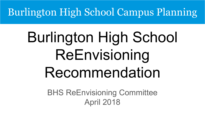## Burlington High School Campus Planning

# Burlington High School ReEnvisioning Recommendation

BHS ReEnvisioning Committee April 2018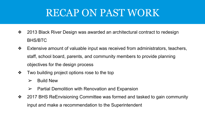## RECAP ON PAST WORK

- ❖ 2013 Black River Design was awarded an architectural contract to redesign BHS/BTC
- ❖ Extensive amount of valuable input was received from administrators, teachers, staff, school board, parents, and community members to provide planning objectives for the design process
- ❖ Two building project options rose to the top
	- $\triangleright$  Build New
	- $\triangleright$  Partial Demolition with Renovation and Expansion
- ❖ 2017 BHS ReEnvisioning Committee was formed and tasked to gain community input and make a recommendation to the Superintendent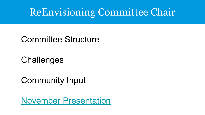## ReEnvisioning Committee Chair

#### Committee Structure

### **Challenges**

#### Community Input

#### [November Presentation](https://docs.google.com/presentation/d/1RU5QV13arSVnqSwfmo_PiRBEwW3TXlCYHK8jpBKCgB8/edit?usp=sharing)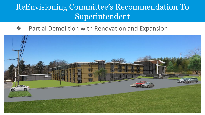#### ReEnvisioning Committee's Recommendation To Superintendent

#### Partial Demolition with Renovation and Expansion

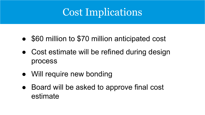## Cost Implications

- \$60 million to \$70 million anticipated cost
- Cost estimate will be refined during design process
- Will require new bonding
- Board will be asked to approve final cost estimate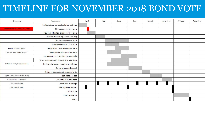#### TIMELINE FOR NOVEMBER 2018 BOND VOTE

| Comments                        | Component                                 | April | May | June | July | August | September | October | November |
|---------------------------------|-------------------------------------------|-------|-----|------|------|--------|-----------|---------|----------|
|                                 | Deliberate on conceptual plan options     |       |     |      |      |        |           |         |          |
| Recommended ASAP for Nov. yote  | Choose conceptual plan                    |       |     |      |      |        |           |         |          |
|                                 | Revise/add detail to conceptual plan      |       |     |      |      |        |           |         |          |
|                                 | Stakeholder input (OPR or similar)        |       |     |      |      |        |           |         |          |
|                                 | Prepare schematic plan                    |       |     |      |      |        |           |         |          |
|                                 | Prepare schematic site plan               |       |     |      |      |        |           |         |          |
| Important early buy-in          | Coordinate Fire Code compliance           |       |     |      |      |        |           |         |          |
| Possible after end of school?   | Review plan with Faculty/Staff            |       |     |      |      |        |           |         |          |
|                                 | Review construction/finish materials      |       |     |      |      |        |           |         |          |
|                                 | Review project with Historic Preservation |       |     |      |      |        |           |         |          |
| Potential budget complication   | Review stormwater treatment options       |       |     |      |      |        |           |         |          |
|                                 | Refine plans and model                    |       |     |      |      |        |           |         |          |
|                                 | Prepare cost estimating documents         |       |     |      |      |        |           |         |          |
| Aggressive schedule to be ready | Estimate project                          |       |     |      |      |        |           |         |          |
| Could be less if on budget      | Adjust scope and cost                     |       |     |      |      |        |           |         |          |
| Just a suggestion               | Committee meetings                        |       |     |      |      |        |           |         |          |
| Just a suggestion               | <b>Board presentations</b>                |       |     |      |      |        |           |         |          |
|                                 | Warn vote                                 |       |     |      |      |        |           |         |          |
|                                 | <b>Bond campaign</b>                      |       |     |      |      |        |           |         |          |
|                                 | <b>VOTE</b>                               |       |     |      |      |        |           |         |          |
|                                 |                                           |       |     |      |      |        |           |         |          |